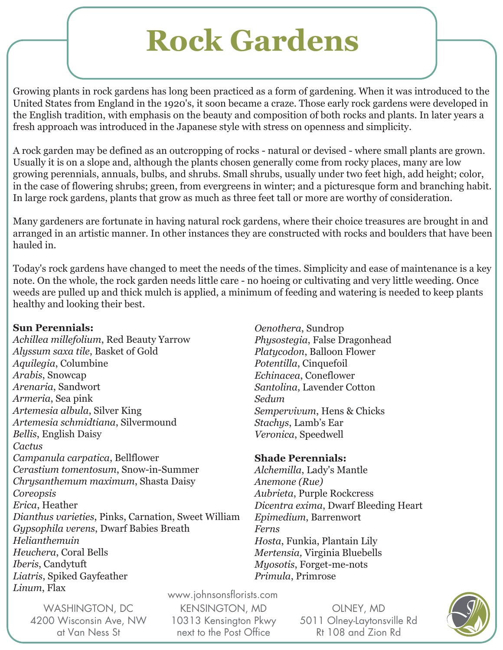# **Rock Gardens**

Growing plants in rock gardens has long been practiced as a form of gardening. When it was introduced to the United States from England in the 1920's, it soon became a craze. Those early rock gardens were developed in the English tradition, with emphasis on the beauty and composition of both rocks and plants. In later years a fresh approach was introduced in the Japanese style with stress on openness and simplicity.

A rock garden may be defined as an outcropping of rocks - natural or devised - where small plants are grown. Usually it is on a slope and, although the plants chosen generally come from rocky places, many are low growing perennials, annuals, bulbs, and shrubs. Small shrubs, usually under two feet high, add height; color, in the case of flowering shrubs; green, from evergreens in winter; and a picturesque form and branching habit. In large rock gardens, plants that grow as much as three feet tall or more are worthy of consideration.

Many gardeners are fortunate in having natural rock gardens, where their choice treasures are brought in and arranged in an artistic manner. In other instances they are constructed with rocks and boulders that have been hauled in.

Today's rock gardens have changed to meet the needs of the times. Simplicity and ease of maintenance is a key note. On the whole, the rock garden needs little care - no hoeing or cultivating and very little weeding. Once weeds are pulled up and thick mulch is applied, a minimum of feeding and watering is needed to keep plants healthy and looking their best.

#### **Sun Perennials:**

*Achillea millefolium*, Red Beauty Yarrow *Alyssum saxa tile*, Basket of Gold *Aquilegia*, Columbine *Arabis*, Snowcap *Arenaria*, Sandwort *Armeria*, Sea pink *Artemesia albula*, Silver King *Artemesia schmidtiana*, Silvermound *Bellis*, English Daisy *Cactus Campanula carpatica*, Bellflower *Cerastium tomentosum*, Snow-in-Summer *Chrysanthemum maximum*, Shasta Daisy *Coreopsis Erica*, Heather *Dianthus varieties*, Pinks, Carnation, Sweet William *Gypsophila verens*, Dwarf Babies Breath *Helianthemuin Heuchera*, Coral Bells *Iberis*, Candytuft *Liatris*, Spiked Gayfeather *Linum*, Flax

*Oenothera*, Sundrop *Physostegia*, False Dragonhead *Platycodon*, Balloon Flower *Potentilla*, Cinquefoil *Echinacea*, Coneflower *Santolina*, Lavender Cotton *Sedum Sempervivum*, Hens & Chicks *Stachys*, Lamb's Ear *Veronica*, Speedwell

### **Shade Perennials:**

*Alchemilla*, Lady's Mantle *Anemone (Rue) Aubrieta*, Purple Rockcress *Dicentra exima*, Dwarf Bleeding Heart *Epimedium*, Barrenwort *Ferns Hosta*, Funkia, Plantain Lily *Mertensia,* Virginia Bluebells *Myosotis*, Forget-me-nots *Primula*, Primrose

WASHINGTON, DC 4200 Wisconsin Ave, NW at Van Ness St

www.johnsonsflorists.com KENSINGTON, MD 10313 Kensington Pkwy next to the Post Office

OLNEY, MD 5011 Olney-Laytonsville Rd Rt 108 and Zion Rd